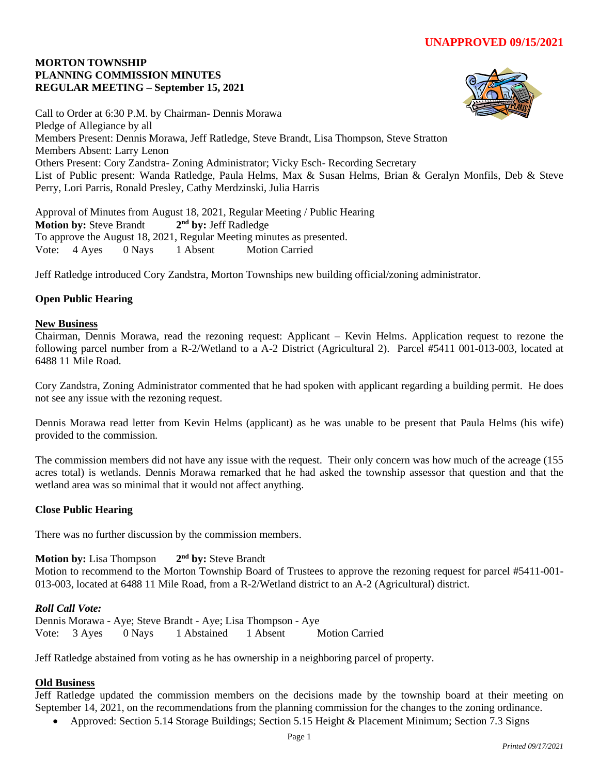## **MORTON TOWNSHIP PLANNING COMMISSION MINUTES REGULAR MEETING – September 15, 2021**



Call to Order at 6:30 P.M. by Chairman- Dennis Morawa Pledge of Allegiance by all Members Present: Dennis Morawa, Jeff Ratledge, Steve Brandt, Lisa Thompson, Steve Stratton Members Absent: Larry Lenon Others Present: Cory Zandstra- Zoning Administrator; Vicky Esch- Recording Secretary List of Public present: Wanda Ratledge, Paula Helms, Max & Susan Helms, Brian & Geralyn Monfils, Deb & Steve Perry, Lori Parris, Ronald Presley, Cathy Merdzinski, Julia Harris

Approval of Minutes from August 18, 2021, Regular Meeting / Public Hearing **Motion by:** Steve Brandt **2 nd by:** Jeff Radledge To approve the August 18, 2021, Regular Meeting minutes as presented. Vote: 4 Ayes 0 Nays 1 Absent Motion Carried

Jeff Ratledge introduced Cory Zandstra, Morton Townships new building official/zoning administrator.

# **Open Public Hearing**

#### **New Business**

Chairman, Dennis Morawa, read the rezoning request: Applicant – Kevin Helms. Application request to rezone the following parcel number from a R-2/Wetland to a A-2 District (Agricultural 2). Parcel #5411 001-013-003, located at 6488 11 Mile Road.

Cory Zandstra, Zoning Administrator commented that he had spoken with applicant regarding a building permit. He does not see any issue with the rezoning request.

Dennis Morawa read letter from Kevin Helms (applicant) as he was unable to be present that Paula Helms (his wife) provided to the commission.

The commission members did not have any issue with the request. Their only concern was how much of the acreage (155 acres total) is wetlands. Dennis Morawa remarked that he had asked the township assessor that question and that the wetland area was so minimal that it would not affect anything.

## **Close Public Hearing**

There was no further discussion by the commission members.

**Motion by:** Lisa Thompson **2** 2<sup>nd</sup> by: Steve Brandt Motion to recommend to the Morton Township Board of Trustees to approve the rezoning request for parcel #5411-001- 013-003, located at 6488 11 Mile Road, from a R-2/Wetland district to an A-2 (Agricultural) district.

## *Roll Call Vote:*

Dennis Morawa - Aye; Steve Brandt - Aye; Lisa Thompson - Aye Vote: 3 Ayes 0 Nays 1 Abstained 1 Absent Motion Carried

Jeff Ratledge abstained from voting as he has ownership in a neighboring parcel of property.

## **Old Business**

Jeff Ratledge updated the commission members on the decisions made by the township board at their meeting on September 14, 2021, on the recommendations from the planning commission for the changes to the zoning ordinance.

• Approved: Section 5.14 Storage Buildings; Section 5.15 Height & Placement Minimum; Section 7.3 Signs